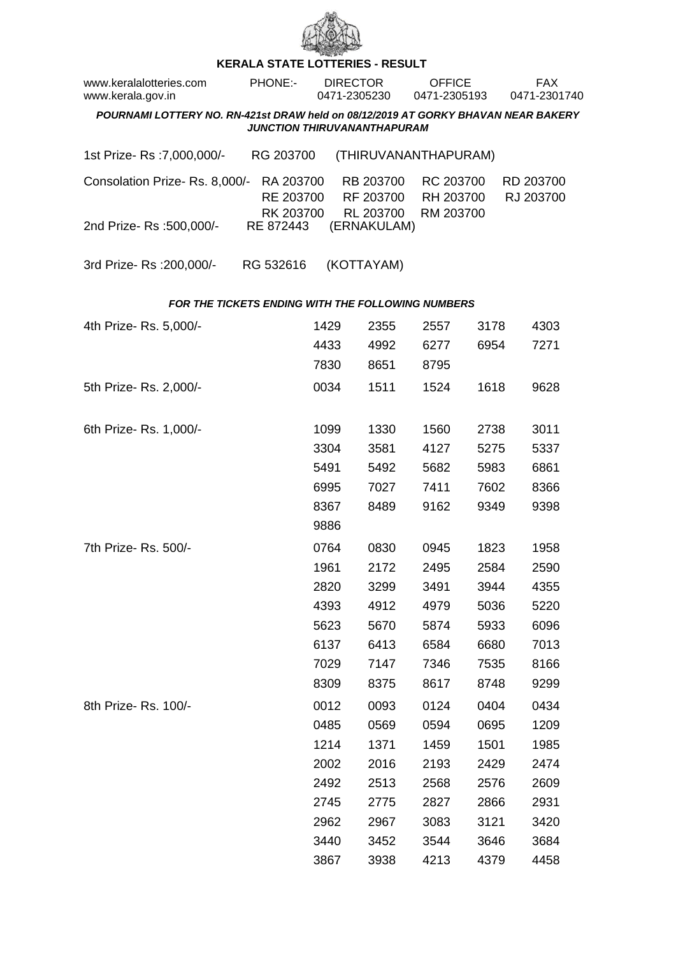

## **KERALA STATE LOTTERIES - RESULT**

| www.keralalotteries.com<br>www.kerala.gov.in                                                                            |  | PHONE:-                             | <b>DIRECTOR</b><br>0471-2305230 |                                     |                      | <b>OFFICE</b><br>0471-2305193 |                        |      | <b>FAX</b><br>0471-2301740 |      |  |  |
|-------------------------------------------------------------------------------------------------------------------------|--|-------------------------------------|---------------------------------|-------------------------------------|----------------------|-------------------------------|------------------------|------|----------------------------|------|--|--|
| POURNAMI LOTTERY NO. RN-421st DRAW held on 08/12/2019 AT GORKY BHAVAN NEAR BAKERY<br><b>JUNCTION THIRUVANANTHAPURAM</b> |  |                                     |                                 |                                     |                      |                               |                        |      |                            |      |  |  |
| 1st Prize-Rs : 7,000,000/-                                                                                              |  | RG 203700                           |                                 |                                     | (THIRUVANANTHAPURAM) |                               |                        |      |                            |      |  |  |
| Consolation Prize-Rs. 8,000/-<br>RA 203700<br>RE 203700<br>RK 203700                                                    |  | RB 203700<br>RF 203700<br>RL 203700 |                                 | RC 203700<br>RH 203700<br>RM 203700 |                      |                               | RD 203700<br>RJ 203700 |      |                            |      |  |  |
| 2nd Prize-Rs: 500,000/-                                                                                                 |  | RE 872443                           |                                 |                                     | (ERNAKULAM)          |                               |                        |      |                            |      |  |  |
| 3rd Prize-Rs : 200,000/-                                                                                                |  | RG 532616                           |                                 |                                     | (KOTTAYAM)           |                               |                        |      |                            |      |  |  |
| <b>FOR THE TICKETS ENDING WITH THE FOLLOWING NUMBERS</b>                                                                |  |                                     |                                 |                                     |                      |                               |                        |      |                            |      |  |  |
| 4th Prize-Rs. 5,000/-                                                                                                   |  |                                     | 1429                            |                                     | 2355                 |                               | 2557                   | 3178 |                            | 4303 |  |  |
|                                                                                                                         |  |                                     | 4433                            |                                     | 4992                 |                               | 6277                   | 6954 |                            | 7271 |  |  |
|                                                                                                                         |  |                                     | 7830                            |                                     | 8651                 |                               | 8795                   |      |                            |      |  |  |
| 5th Prize-Rs. 2,000/-                                                                                                   |  |                                     | 0034                            |                                     | 1511                 |                               | 1524                   | 1618 |                            | 9628 |  |  |
| 6th Prize-Rs. 1,000/-                                                                                                   |  |                                     | 1099                            |                                     | 1330                 |                               | 1560                   | 2738 |                            | 3011 |  |  |
|                                                                                                                         |  |                                     | 3304                            |                                     | 3581                 |                               | 4127                   | 5275 |                            | 5337 |  |  |
|                                                                                                                         |  |                                     | 5491                            |                                     | 5492                 |                               | 5682                   | 5983 |                            | 6861 |  |  |
|                                                                                                                         |  |                                     | 6995                            |                                     | 7027                 |                               | 7411                   | 7602 |                            | 8366 |  |  |
|                                                                                                                         |  |                                     | 8367                            |                                     | 8489                 |                               | 9162                   | 9349 |                            | 9398 |  |  |
|                                                                                                                         |  |                                     | 9886                            |                                     |                      |                               |                        |      |                            |      |  |  |
| 7th Prize- Rs. 500/-                                                                                                    |  |                                     | 0764                            |                                     | 0830                 |                               | 0945                   | 1823 |                            | 1958 |  |  |
|                                                                                                                         |  |                                     | 1961                            |                                     | 2172                 |                               | 2495                   | 2584 |                            | 2590 |  |  |
|                                                                                                                         |  |                                     | 2820                            |                                     | 3299                 |                               | 3491                   | 3944 |                            | 4355 |  |  |
|                                                                                                                         |  |                                     | 4393                            |                                     | 4912                 |                               | 4979                   | 5036 |                            | 5220 |  |  |
|                                                                                                                         |  |                                     | 5623                            |                                     | 5670                 |                               | 5874                   | 5933 |                            | 6096 |  |  |
|                                                                                                                         |  |                                     | 6137                            |                                     | 6413                 |                               | 6584                   | 6680 |                            | 7013 |  |  |
|                                                                                                                         |  |                                     | 7029                            |                                     | 7147                 |                               | 7346                   | 7535 |                            | 8166 |  |  |
|                                                                                                                         |  |                                     | 8309                            |                                     | 8375                 |                               | 8617                   | 8748 |                            | 9299 |  |  |
| 8th Prize-Rs. 100/-                                                                                                     |  |                                     | 0012                            |                                     | 0093                 |                               | 0124                   | 0404 |                            | 0434 |  |  |
|                                                                                                                         |  |                                     | 0485                            |                                     | 0569                 |                               | 0594                   | 0695 |                            | 1209 |  |  |
|                                                                                                                         |  |                                     | 1214                            |                                     | 1371                 |                               | 1459                   | 1501 |                            | 1985 |  |  |
|                                                                                                                         |  |                                     | 2002                            |                                     | 2016                 |                               | 2193                   | 2429 |                            | 2474 |  |  |
|                                                                                                                         |  |                                     | 2492                            |                                     | 2513                 |                               | 2568                   | 2576 |                            | 2609 |  |  |
|                                                                                                                         |  |                                     | 2745                            |                                     | 2775                 |                               | 2827                   | 2866 |                            | 2931 |  |  |
|                                                                                                                         |  |                                     | 2962                            |                                     | 2967                 |                               | 3083                   | 3121 |                            | 3420 |  |  |
|                                                                                                                         |  |                                     | 3440                            |                                     | 3452                 |                               | 3544                   | 3646 |                            | 3684 |  |  |
|                                                                                                                         |  |                                     | 3867                            |                                     | 3938                 |                               | 4213                   | 4379 |                            | 4458 |  |  |